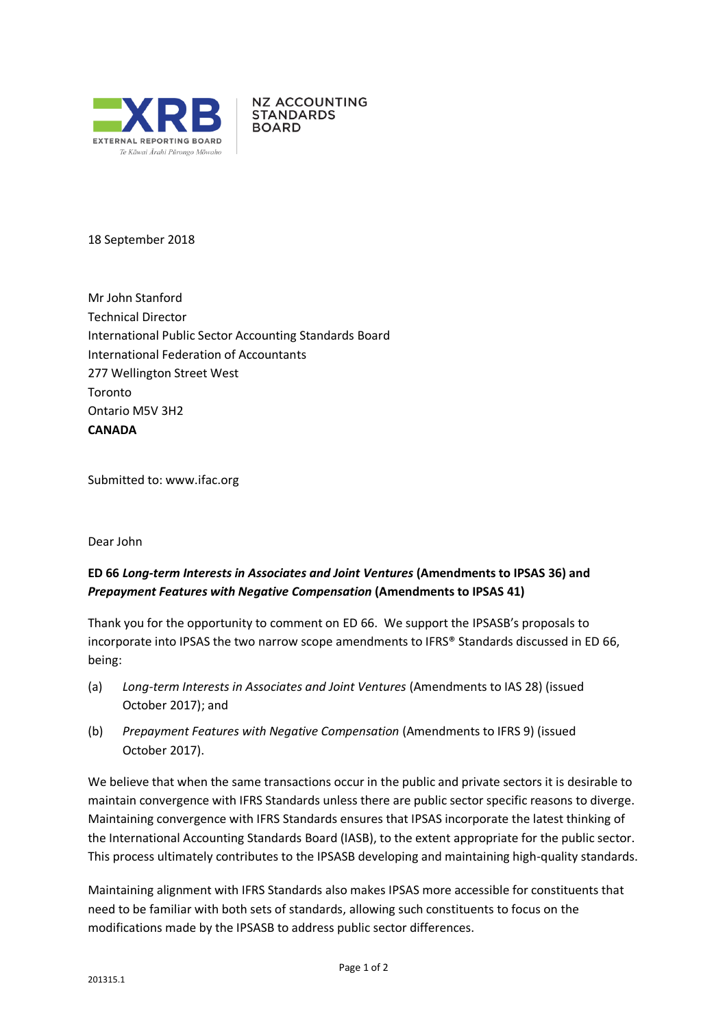

**NZ ACCOUNTING STANDARDS BOARD** 

18 September 2018

Mr John Stanford Technical Director International Public Sector Accounting Standards Board International Federation of Accountants 277 Wellington Street West Toronto Ontario M5V 3H2 **CANADA**

Submitted to: [www.ifac.org](http://www.ifac.org/)

## Dear John

## **ED 66** *Long-term Interests in Associates and Joint Ventures* **(Amendments to IPSAS 36) and** *Prepayment Features with Negative Compensation* **(Amendments to IPSAS 41)**

Thank you for the opportunity to comment on ED 66. We support the IPSASB's proposals to incorporate into IPSAS the two narrow scope amendments to IFRS® Standards discussed in ED 66, being:

- (a) *Long-term Interests in Associates and Joint Ventures* (Amendments to IAS 28) (issued October 2017); and
- (b) *Prepayment Features with Negative Compensation* (Amendments to IFRS 9) (issued October 2017).

We believe that when the same transactions occur in the public and private sectors it is desirable to maintain convergence with IFRS Standards unless there are public sector specific reasons to diverge. Maintaining convergence with IFRS Standards ensures that IPSAS incorporate the latest thinking of the International Accounting Standards Board (IASB), to the extent appropriate for the public sector. This process ultimately contributes to the IPSASB developing and maintaining high-quality standards.

Maintaining alignment with IFRS Standards also makes IPSAS more accessible for constituents that need to be familiar with both sets of standards, allowing such constituents to focus on the modifications made by the IPSASB to address public sector differences.